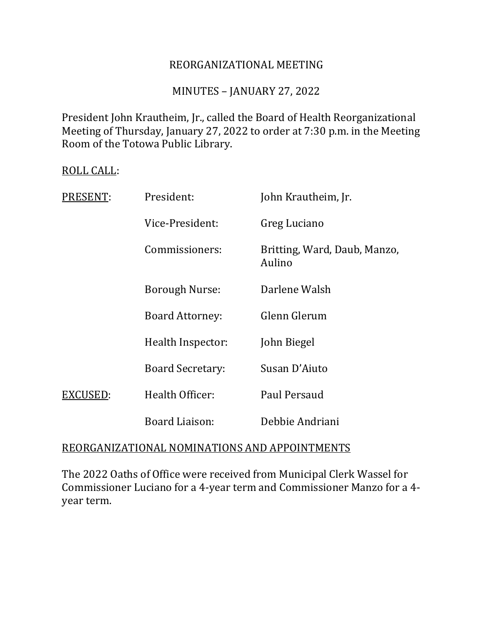### REORGANIZATIONAL MEETING

### MINUTES – JANUARY 27, 2022

President John Krautheim, Jr., called the Board of Health Reorganizational Meeting of Thursday, January 27, 2022 to order at 7:30 p.m. in the Meeting Room of the Totowa Public Library.

#### ROLL CALL:

| PRESENT: | President:              | John Krautheim, Jr.                    |
|----------|-------------------------|----------------------------------------|
|          | Vice-President:         | Greg Luciano                           |
|          | Commissioners:          | Britting, Ward, Daub, Manzo,<br>Aulino |
|          | <b>Borough Nurse:</b>   | Darlene Walsh                          |
|          | <b>Board Attorney:</b>  | Glenn Glerum                           |
|          | Health Inspector:       | John Biegel                            |
|          | <b>Board Secretary:</b> | Susan D'Aiuto                          |
| EXCUSED: | Health Officer:         | Paul Persaud                           |
|          | Board Liaison:          | Debbie Andriani                        |

### REORGANIZATIONAL NOMINATIONS AND APPOINTMENTS

The 2022 Oaths of Office were received from Municipal Clerk Wassel for Commissioner Luciano for a 4-year term and Commissioner Manzo for a 4 year term.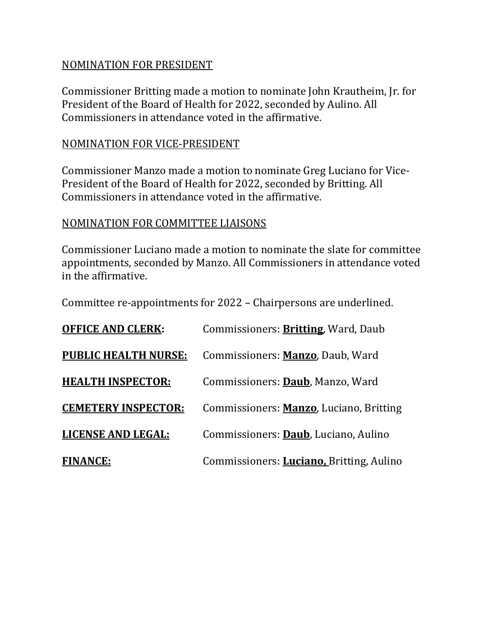### NOMINATION FOR PRESIDENT

Commissioner Britting made a motion to nominate John Krautheim, Jr. for President of the Board of Health for 2022, seconded by Aulino. All Commissioners in attendance voted in the affirmative.

### NOMINATION FOR VICE-PRESIDENT

Commissioner Manzo made a motion to nominate Greg Luciano for Vice-President of the Board of Health for 2022, seconded by Britting. All Commissioners in attendance voted in the affirmative.

### NOMINATION FOR COMMITTEE LIAISONS

Commissioner Luciano made a motion to nominate the slate for committee appointments, seconded by Manzo. All Commissioners in attendance voted in the affirmative.

Committee re-appointments for 2022 – Chairpersons are underlined.

| <b>OFFICE AND CLERK:</b>    | Commissioners: <b>Britting</b> , Ward, Daub      |
|-----------------------------|--------------------------------------------------|
| <b>PUBLIC HEALTH NURSE:</b> | Commissioners: Manzo, Daub, Ward                 |
| <b>HEALTH INSPECTOR:</b>    | Commissioners: Daub, Manzo, Ward                 |
| <b>CEMETERY INSPECTOR:</b>  | Commissioners: <b>Manzo</b> , Luciano, Britting  |
| <b>LICENSE AND LEGAL:</b>   | Commissioners: Daub, Luciano, Aulino             |
| <b>FINANCE:</b>             | Commissioners: <b>Luciano</b> , Britting, Aulino |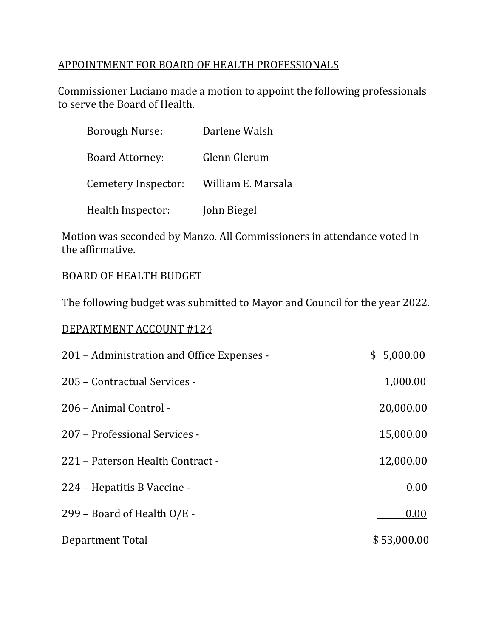## APPOINTMENT FOR BOARD OF HEALTH PROFESSIONALS

Commissioner Luciano made a motion to appoint the following professionals to serve the Board of Health.

| <b>Borough Nurse:</b>  | Darlene Walsh      |
|------------------------|--------------------|
| <b>Board Attorney:</b> | Glenn Glerum       |
| Cemetery Inspector:    | William E. Marsala |
| Health Inspector:      | John Biegel        |

Motion was seconded by Manzo. All Commissioners in attendance voted in the affirmative.

### BOARD OF HEALTH BUDGET

The following budget was submitted to Mayor and Council for the year 2022.

### DEPARTMENT ACCOUNT #124

| 201 - Administration and Office Expenses - | 5,000.00<br>\$ |
|--------------------------------------------|----------------|
| 205 - Contractual Services -               | 1,000.00       |
| 206 – Animal Control -                     | 20,000.00      |
| 207 - Professional Services -              | 15,000.00      |
| 221 – Paterson Health Contract -           | 12,000.00      |
| 224 - Hepatitis B Vaccine -                | 0.00           |
| 299 – Board of Health O/E -                | 0.00           |
| Department Total                           | \$53,000.00    |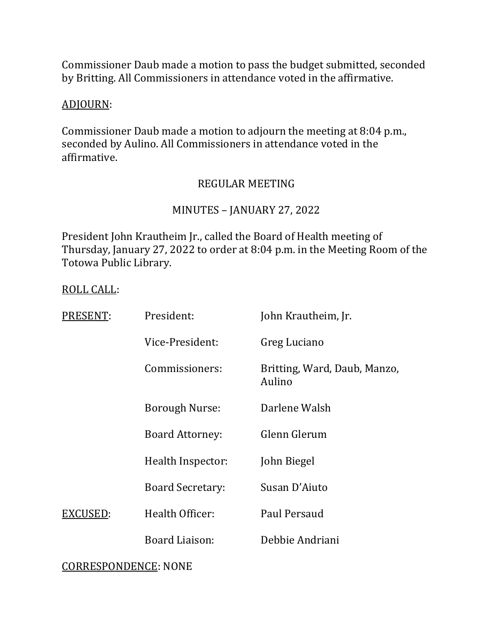Commissioner Daub made a motion to pass the budget submitted, seconded by Britting. All Commissioners in attendance voted in the affirmative.

# ADJOURN:

Commissioner Daub made a motion to adjourn the meeting at 8:04 p.m., seconded by Aulino. All Commissioners in attendance voted in the affirmative.

## REGULAR MEETING

### MINUTES – JANUARY 27, 2022

President John Krautheim Jr., called the Board of Health meeting of Thursday, January 27, 2022 to order at 8:04 p.m. in the Meeting Room of the Totowa Public Library.

#### ROLL CALL:

| PRESENT: | President:              | John Krautheim, Jr.                    |
|----------|-------------------------|----------------------------------------|
|          | Vice-President:         | Greg Luciano                           |
|          | Commissioners:          | Britting, Ward, Daub, Manzo,<br>Aulino |
|          | <b>Borough Nurse:</b>   | Darlene Walsh                          |
|          | <b>Board Attorney:</b>  | Glenn Glerum                           |
|          | Health Inspector:       | John Biegel                            |
|          | <b>Board Secretary:</b> | Susan D'Aiuto                          |
| EXCUSED: | Health Officer:         | Paul Persaud                           |
|          | Board Liaison:          | Debbie Andriani                        |
|          |                         |                                        |

### CORRESPONDENCE: NONE